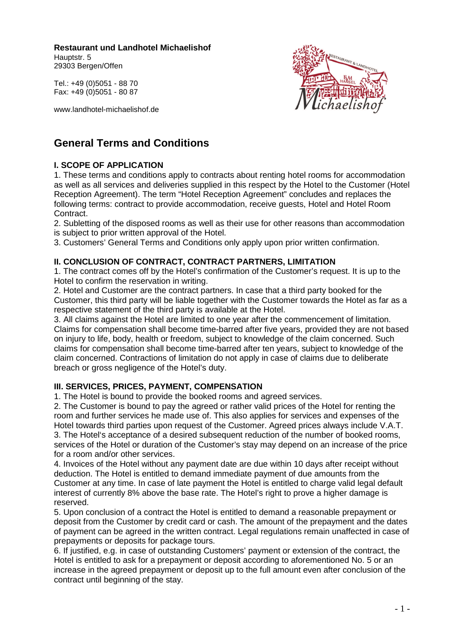**Restaurant und Landhotel Michaelishof** 

Hauptstr. 5 29303 Bergen/Offen

Tel.: +49 (0)5051 - 88 70 Fax: +49 (0)5051 - 80 87

www.landhotel-michaelishof.de



# **General Terms and Conditions**

# **I. SCOPE OF APPLICATION**

1. These terms and conditions apply to contracts about renting hotel rooms for accommodation as well as all services and deliveries supplied in this respect by the Hotel to the Customer (Hotel Reception Agreement). The term "Hotel Reception Agreement" concludes and replaces the following terms: contract to provide accommodation, receive guests, Hotel and Hotel Room Contract.

2. Subletting of the disposed rooms as well as their use for other reasons than accommodation is subject to prior written approval of the Hotel.

3. Customers' General Terms and Conditions only apply upon prior written confirmation.

## **II. CONCLUSION OF CONTRACT, CONTRACT PARTNERS, LIMITATION**

1. The contract comes off by the Hotel's confirmation of the Customer's request. It is up to the Hotel to confirm the reservation in writing.

2. Hotel and Customer are the contract partners. In case that a third party booked for the Customer, this third party will be liable together with the Customer towards the Hotel as far as a respective statement of the third party is available at the Hotel.

3. All claims against the Hotel are limited to one year after the commencement of limitation. Claims for compensation shall become time-barred after five years, provided they are not based on injury to life, body, health or freedom, subject to knowledge of the claim concerned. Such claims for compensation shall become time-barred after ten years, subject to knowledge of the claim concerned. Contractions of limitation do not apply in case of claims due to deliberate breach or gross negligence of the Hotel's duty.

## **III. SERVICES, PRICES, PAYMENT, COMPENSATION**

1. The Hotel is bound to provide the booked rooms and agreed services.

2. The Customer is bound to pay the agreed or rather valid prices of the Hotel for renting the room and further services he made use of. This also applies for services and expenses of the Hotel towards third parties upon request of the Customer. Agreed prices always include V.A.T. 3. The Hotel's acceptance of a desired subsequent reduction of the number of booked rooms, services of the Hotel or duration of the Customer's stay may depend on an increase of the price for a room and/or other services.

4. Invoices of the Hotel without any payment date are due within 10 days after receipt without deduction. The Hotel is entitled to demand immediate payment of due amounts from the Customer at any time. In case of late payment the Hotel is entitled to charge valid legal default interest of currently 8% above the base rate. The Hotel's right to prove a higher damage is reserved.

5. Upon conclusion of a contract the Hotel is entitled to demand a reasonable prepayment or deposit from the Customer by credit card or cash. The amount of the prepayment and the dates of payment can be agreed in the written contract. Legal regulations remain unaffected in case of prepayments or deposits for package tours.

6. If justified, e.g. in case of outstanding Customers' payment or extension of the contract, the Hotel is entitled to ask for a prepayment or deposit according to aforementioned No. 5 or an increase in the agreed prepayment or deposit up to the full amount even after conclusion of the contract until beginning of the stay.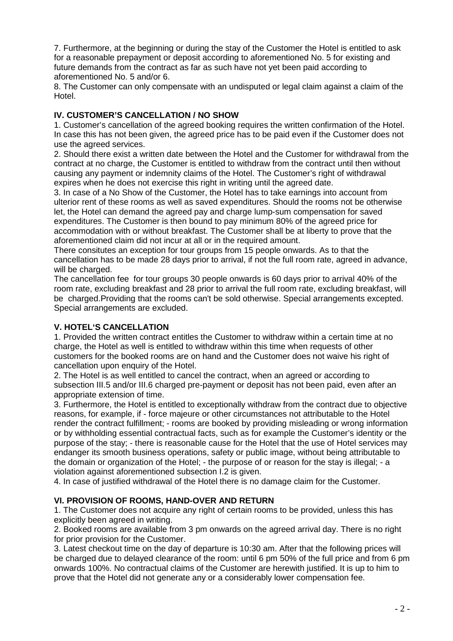7. Furthermore, at the beginning or during the stay of the Customer the Hotel is entitled to ask for a reasonable prepayment or deposit according to aforementioned No. 5 for existing and future demands from the contract as far as such have not yet been paid according to aforementioned No. 5 and/or 6.

8. The Customer can only compensate with an undisputed or legal claim against a claim of the Hotel.

## **IV. CUSTOMER'S CANCELLATION / NO SHOW**

1. Customer's cancellation of the agreed booking requires the written confirmation of the Hotel. In case this has not been given, the agreed price has to be paid even if the Customer does not use the agreed services.

2. Should there exist a written date between the Hotel and the Customer for withdrawal from the contract at no charge, the Customer is entitled to withdraw from the contract until then without causing any payment or indemnity claims of the Hotel. The Customer's right of withdrawal expires when he does not exercise this right in writing until the agreed date.

3. In case of a No Show of the Customer, the Hotel has to take earnings into account from ulterior rent of these rooms as well as saved expenditures. Should the rooms not be otherwise let, the Hotel can demand the agreed pay and charge lump-sum compensation for saved expenditures. The Customer is then bound to pay minimum 80% of the agreed price for accommodation with or without breakfast. The Customer shall be at liberty to prove that the aforementioned claim did not incur at all or in the required amount.

There consitutes an exception for tour groups from 15 people onwards. As to that the cancellation has to be made 28 days prior to arrival, if not the full room rate, agreed in advance, will be charged.

The cancellation fee for tour groups 30 people onwards is 60 days prior to arrival 40% of the room rate, excluding breakfast and 28 prior to arrival the full room rate, excluding breakfast, will be charged.Providing that the rooms can't be sold otherwise. Special arrangements excepted. Special arrangements are excluded.

## **V. HOTEL'S CANCELLATION**

1. Provided the written contract entitles the Customer to withdraw within a certain time at no charge, the Hotel as well is entitled to withdraw within this time when requests of other customers for the booked rooms are on hand and the Customer does not waive his right of cancellation upon enquiry of the Hotel.

2. The Hotel is as well entitled to cancel the contract, when an agreed or according to subsection III.5 and/or III.6 charged pre-payment or deposit has not been paid, even after an appropriate extension of time.

3. Furthermore, the Hotel is entitled to exceptionally withdraw from the contract due to objective reasons, for example, if - force majeure or other circumstances not attributable to the Hotel render the contract fulfillment; - rooms are booked by providing misleading or wrong information or by withholding essential contractual facts, such as for example the Customer's identity or the purpose of the stay; - there is reasonable cause for the Hotel that the use of Hotel services may endanger its smooth business operations, safety or public image, without being attributable to the domain or organization of the Hotel; - the purpose of or reason for the stay is illegal; - a violation against aforementioned subsection I.2 is given.

4. In case of justified withdrawal of the Hotel there is no damage claim for the Customer.

#### **VI. PROVISION OF ROOMS, HAND-OVER AND RETURN**

1. The Customer does not acquire any right of certain rooms to be provided, unless this has explicitly been agreed in writing.

2. Booked rooms are available from 3 pm onwards on the agreed arrival day. There is no right for prior provision for the Customer.

3. Latest checkout time on the day of departure is 10:30 am. After that the following prices will be charged due to delayed clearance of the room: until 6 pm 50% of the full price and from 6 pm onwards 100%. No contractual claims of the Customer are herewith justified. It is up to him to prove that the Hotel did not generate any or a considerably lower compensation fee.